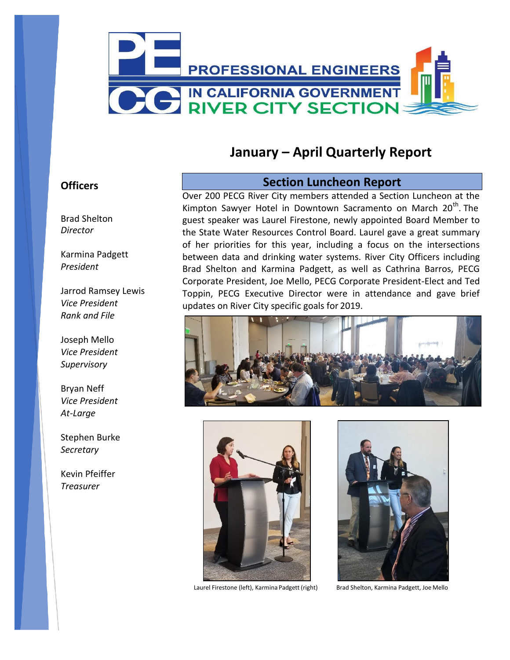

# **January – April Quarterly Report**

### **Officers**

Brad Shelton *Director*

Karmina Padgett *President*

Jarrod Ramsey Lewis *Vice President Rank and File*

Joseph Mello *Vice President Supervisory*

Bryan Neff *Vice President At-Large*

Stephen Burke *Secretary*

Kevin Pfeiffer *Treasurer*

### **Section Luncheon Report**

Over 200 PECG River City members attended a Section Luncheon at the Kimpton Sawyer Hotel in Downtown Sacramento on March  $20<sup>th</sup>$ . The guest speaker was Laurel Firestone, newly appointed Board Member to the State Water Resources Control Board. Laurel gave a great summary of her priorities for this year, including a focus on the intersections between data and drinking water systems. River City Officers including Brad Shelton and Karmina Padgett, as well as Cathrina Barros, PECG Corporate President, Joe Mello, PECG Corporate President-Elect and Ted Toppin, PECG Executive Director were in attendance and gave brief updates on River City specific goals for 2019.





Laurel Firestone (left), Karmina Padgett (right) Brad Shelton, Karmina Padgett, Joe Mello

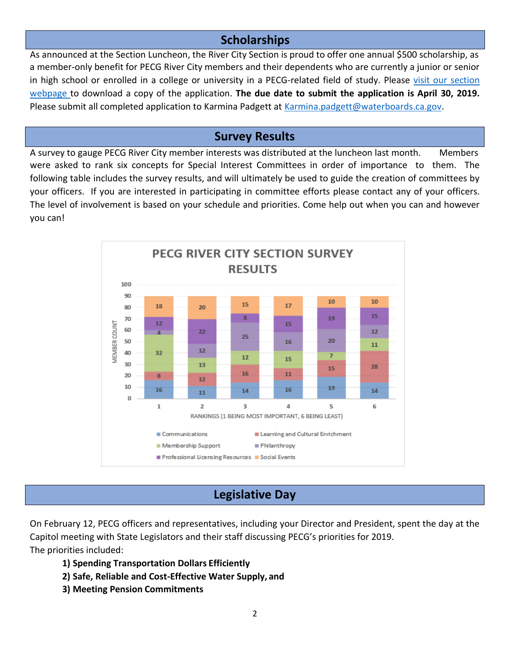# **Scholarships**

As announced at the Section Luncheon, the River City Section is proud to offer one annual \$500 scholarship, as a member-only benefit for PECG River City members and their dependents who are currently a junior or senior in high school or enrolled in a college or university in a PECG-related field of study. Please [visit our section](http://pecg.org/sections/river-city-section/) [webpage t](http://pecg.org/sections/river-city-section/)o download a copy of the application. **The due date to submit the application is April 30, 2019.**  Please submit all completed application to Karmina Padgett at [Karmina.padgett@waterboards.ca.gov.](mailto:Karmina.padgett@waterboards.ca.gov)

# **Survey Results**

A survey to gauge PECG River City member interests was distributed at the luncheon last month. Members were asked to rank six concepts for Special Interest Committees in order of importance to them. The following table includes the survey results, and will ultimately be used to guide the creation of committees by your officers. If you are interested in participating in committee efforts please contact any of your officers. The level of involvement is based on your schedule and priorities. Come help out when you can and however you can!



# **Legislative Day**

On February 12, PECG officers and representatives, including your Director and President, spent the day at the Capitol meeting with State Legislators and their staff discussing PECG's priorities for 2019. The priorities included:

- **1) Spending Transportation Dollars Efficiently**
- **2) Safe, Reliable and Cost-Effective Water Supply, and**
- **3) Meeting Pension Commitments**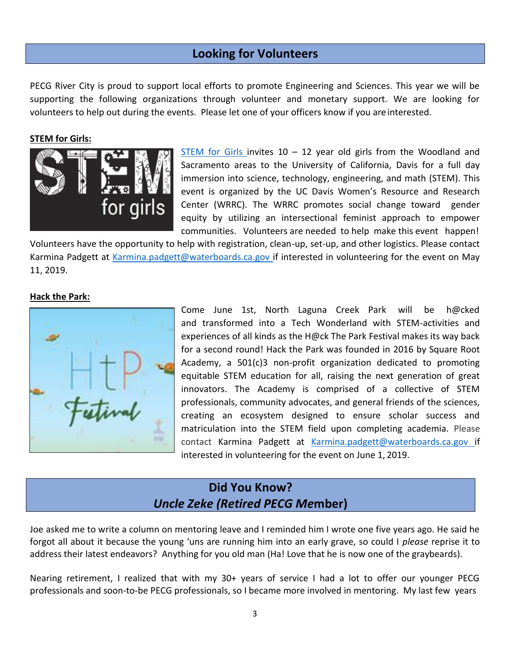## **Looking for Volunteers**

PECG River City is proud to support local efforts to promote Engineering and Sciences. This year we will be supporting the following organizations through volunteer and monetary support. We are looking for volunteers to help out during the events. Please let one of your officers know if you areinterested.

#### **STEM for Girls:**



[STEM for Girls](http://pecg.org/wp-content/uploads/STEMforGirlsImpact.pdf) invites  $10 - 12$  year old girls from the Woodland and Sacramento areas to the University of California, Davis for a full day immersion into science, technology, engineering, and math (STEM). This event is organized by the UC Davis Women's Resource and Research Center (WRRC). The WRRC promotes social change toward gender equity by utilizing an intersectional feminist approach to empower communities. Volunteers are needed to help make this event happen!

Volunteers have the opportunity to help with registration, clean-up, set-up, and other logistics. Please contact Karmina Padgett at [Karmina.padgett@waterboards.ca.gov i](mailto:Karmina.padgett@waterboards.ca.gov)f interested in volunteering for the event on May 11, 2019.

#### **Hack the Park:**



Come June 1st, North Laguna Creek Park will be h@cked and transformed into a Tech Wonderland with STEM-activities and experiences of all kinds as the H@ck The Park Festival makes its way back for a second round! Hack the Park was founded in 2016 by Square Root Academy, a 501(c)3 non-profit organization dedicated to promoting equitable STEM education for all, raising the next generation of great innovators. The Academy is comprised of a collective of STEM professionals, community advocates, and general friends of the sciences, creating an ecosystem designed to ensure scholar success and matriculation into the STEM field upon completing academia. Please contact Karmina Padgett at [Karmina.padgett@waterboards.ca.gov](mailto:Karmina.padgett@waterboards.ca.gov) if interested in volunteering for the event on June 1, 2019.

## **Did You Know?** *Uncle Zeke (Retired PECG Me***mber)**

Joe asked me to write a column on mentoring leave and I reminded him I wrote one five years ago. He said he forgot all about it because the young 'uns are running him into an early grave, so could I *please* reprise it to address their latest endeavors? Anything for you old man (Ha! Love that he is now one of the graybeards).

Nearing retirement, I realized that with my 30+ years of service I had a lot to offer our younger PECG professionals and soon-to-be PECG professionals, so I became more involved in mentoring. My last few years